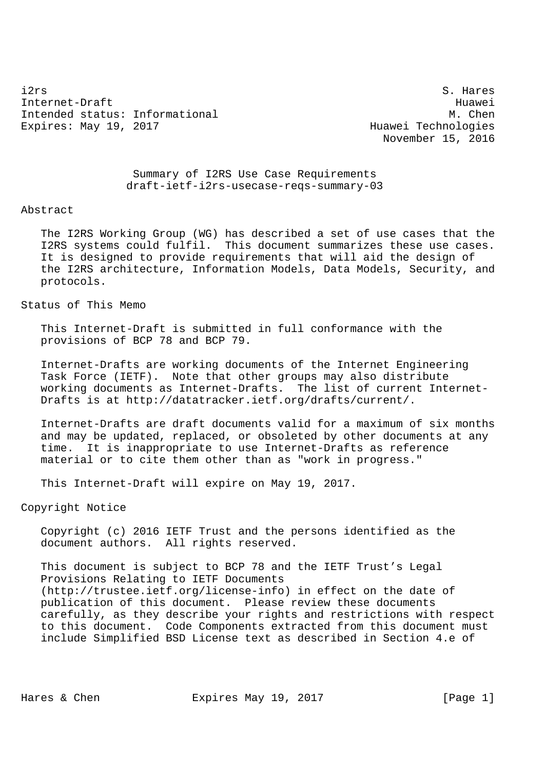i2rs S. Hares Internet-Draft Huawei Intended status: Informational M. Chen Expires: May 19, 2017 Technologies

November 15, 2016

 Summary of I2RS Use Case Requirements draft-ietf-i2rs-usecase-reqs-summary-03

### Abstract

 The I2RS Working Group (WG) has described a set of use cases that the I2RS systems could fulfil. This document summarizes these use cases. It is designed to provide requirements that will aid the design of the I2RS architecture, Information Models, Data Models, Security, and protocols.

## Status of This Memo

 This Internet-Draft is submitted in full conformance with the provisions of BCP 78 and BCP 79.

 Internet-Drafts are working documents of the Internet Engineering Task Force (IETF). Note that other groups may also distribute working documents as Internet-Drafts. The list of current Internet- Drafts is at http://datatracker.ietf.org/drafts/current/.

 Internet-Drafts are draft documents valid for a maximum of six months and may be updated, replaced, or obsoleted by other documents at any time. It is inappropriate to use Internet-Drafts as reference material or to cite them other than as "work in progress."

This Internet-Draft will expire on May 19, 2017.

## Copyright Notice

 Copyright (c) 2016 IETF Trust and the persons identified as the document authors. All rights reserved.

 This document is subject to BCP 78 and the IETF Trust's Legal Provisions Relating to IETF Documents (http://trustee.ietf.org/license-info) in effect on the date of publication of this document. Please review these documents carefully, as they describe your rights and restrictions with respect to this document. Code Components extracted from this document must include Simplified BSD License text as described in Section 4.e of

Hares & Chen **Expires May 19, 2017** [Page 1]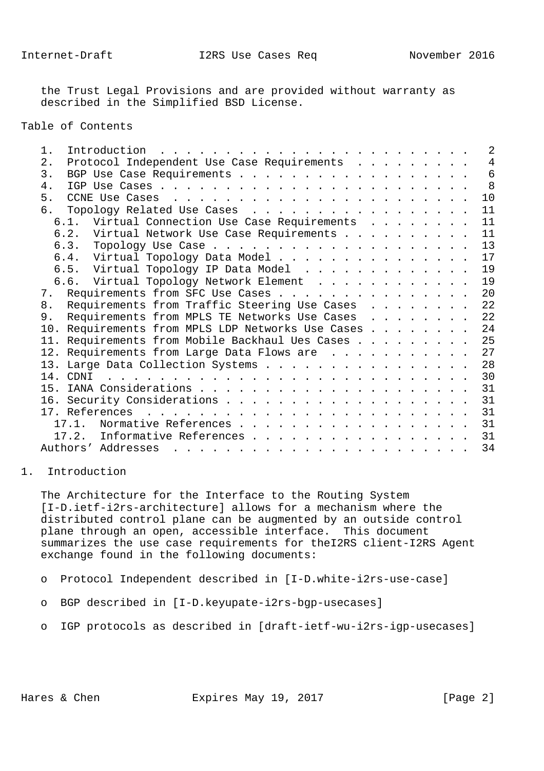the Trust Legal Provisions and are provided without warranty as described in the Simplified BSD License.

Table of Contents

| 1. | Introduction                                                                                                                                                                                                                                            |  |  |  |  | $\overline{2}$ |
|----|---------------------------------------------------------------------------------------------------------------------------------------------------------------------------------------------------------------------------------------------------------|--|--|--|--|----------------|
| 2. | Protocol Independent Use Case Requirements                                                                                                                                                                                                              |  |  |  |  | 4              |
| 3. |                                                                                                                                                                                                                                                         |  |  |  |  | $\overline{6}$ |
| 4. |                                                                                                                                                                                                                                                         |  |  |  |  | 8              |
| 5. |                                                                                                                                                                                                                                                         |  |  |  |  | 10             |
| б. | Topology Related Use Cases                                                                                                                                                                                                                              |  |  |  |  | 11             |
|    | 6.1. Virtual Connection Use Case Requirements                                                                                                                                                                                                           |  |  |  |  | 11             |
|    | 6.2. Virtual Network Use Case Requirements                                                                                                                                                                                                              |  |  |  |  | 11             |
|    |                                                                                                                                                                                                                                                         |  |  |  |  | 13             |
|    | 6.4. Virtual Topology Data Model                                                                                                                                                                                                                        |  |  |  |  | 17             |
|    | 6.5. Virtual Topology IP Data Model                                                                                                                                                                                                                     |  |  |  |  | 19             |
|    | 6.6. Virtual Topology Network Element                                                                                                                                                                                                                   |  |  |  |  | 19             |
|    | 7. Requirements from SFC Use Cases                                                                                                                                                                                                                      |  |  |  |  | 20             |
| 8. | Requirements from Traffic Steering Use Cases                                                                                                                                                                                                            |  |  |  |  | 22             |
| 9. | Requirements from MPLS TE Networks Use Cases                                                                                                                                                                                                            |  |  |  |  | 22             |
|    | 10. Requirements from MPLS LDP Networks Use Cases                                                                                                                                                                                                       |  |  |  |  | 24             |
|    | 11. Requirements from Mobile Backhaul Ues Cases                                                                                                                                                                                                         |  |  |  |  | 25             |
|    | 12. Requirements from Large Data Flows are                                                                                                                                                                                                              |  |  |  |  | 27             |
|    | 13. Large Data Collection Systems                                                                                                                                                                                                                       |  |  |  |  | 28             |
|    |                                                                                                                                                                                                                                                         |  |  |  |  | 30             |
|    |                                                                                                                                                                                                                                                         |  |  |  |  | 31             |
|    |                                                                                                                                                                                                                                                         |  |  |  |  | 31             |
|    |                                                                                                                                                                                                                                                         |  |  |  |  | 31             |
|    | Normative References<br>$17.1$ .                                                                                                                                                                                                                        |  |  |  |  | 31             |
|    | Informative References<br>17.2.                                                                                                                                                                                                                         |  |  |  |  | 31             |
|    | Authors' Addresses<br>$\mathbf{r}$ , and a set of the set of the set of the set of the set of the set of the set of the set of the set of the set of the set of the set of the set of the set of the set of the set of the set of the set of the set of |  |  |  |  | 34             |
|    |                                                                                                                                                                                                                                                         |  |  |  |  |                |

1. Introduction

 The Architecture for the Interface to the Routing System [I-D.ietf-i2rs-architecture] allows for a mechanism where the distributed control plane can be augmented by an outside control plane through an open, accessible interface. This document summarizes the use case requirements for theI2RS client-I2RS Agent exchange found in the following documents:

- o Protocol Independent described in [I-D.white-i2rs-use-case]
- o BGP described in [I-D.keyupate-i2rs-bgp-usecases]
- o IGP protocols as described in [draft-ietf-wu-i2rs-igp-usecases]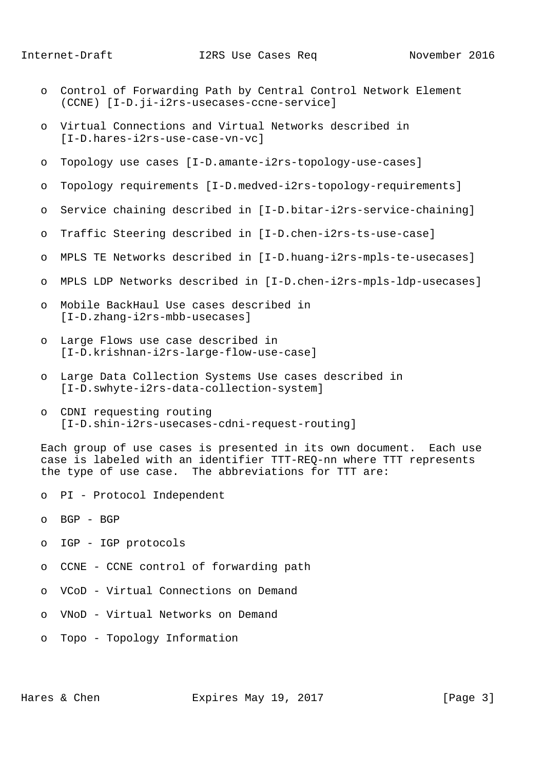- o Control of Forwarding Path by Central Control Network Element (CCNE) [I-D.ji-i2rs-usecases-ccne-service]
- o Virtual Connections and Virtual Networks described in [I-D.hares-i2rs-use-case-vn-vc]
- o Topology use cases [I-D.amante-i2rs-topology-use-cases]
- o Topology requirements [I-D.medved-i2rs-topology-requirements]
- o Service chaining described in [I-D.bitar-i2rs-service-chaining]
- o Traffic Steering described in [I-D.chen-i2rs-ts-use-case]
- o MPLS TE Networks described in [I-D.huang-i2rs-mpls-te-usecases]
- o MPLS LDP Networks described in [I-D.chen-i2rs-mpls-ldp-usecases]
- o Mobile BackHaul Use cases described in [I-D.zhang-i2rs-mbb-usecases]
- o Large Flows use case described in [I-D.krishnan-i2rs-large-flow-use-case]
- o Large Data Collection Systems Use cases described in [I-D.swhyte-i2rs-data-collection-system]
- o CDNI requesting routing [I-D.shin-i2rs-usecases-cdni-request-routing]

 Each group of use cases is presented in its own document. Each use case is labeled with an identifier TTT-REQ-nn where TTT represents the type of use case. The abbreviations for TTT are:

- o PI Protocol Independent
- o BGP BGP
- o IGP IGP protocols
- o CCNE CCNE control of forwarding path
- o VCoD Virtual Connections on Demand
- o VNoD Virtual Networks on Demand
- o Topo Topology Information

Hares & Chen Expires May 19, 2017 [Page 3]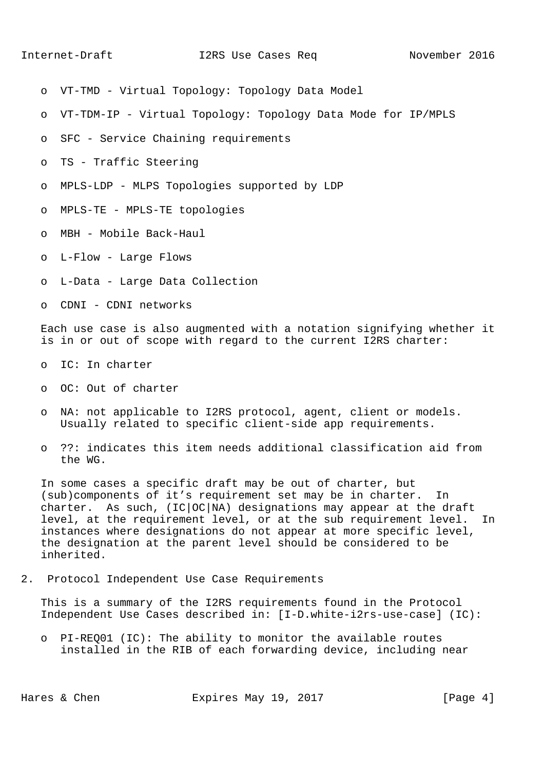- o VT-TMD Virtual Topology: Topology Data Model
- o VT-TDM-IP Virtual Topology: Topology Data Mode for IP/MPLS
- o SFC Service Chaining requirements
- o TS Traffic Steering
- o MPLS-LDP MLPS Topologies supported by LDP
- o MPLS-TE MPLS-TE topologies
- o MBH Mobile Back-Haul
- o L-Flow Large Flows
- o L-Data Large Data Collection
- o CDNI CDNI networks

 Each use case is also augmented with a notation signifying whether it is in or out of scope with regard to the current I2RS charter:

- o IC: In charter
- o OC: Out of charter
- o NA: not applicable to I2RS protocol, agent, client or models. Usually related to specific client-side app requirements.
- o ??: indicates this item needs additional classification aid from the WG.

 In some cases a specific draft may be out of charter, but (sub)components of it's requirement set may be in charter. In charter. As such, (IC|OC|NA) designations may appear at the draft level, at the requirement level, or at the sub requirement level. In instances where designations do not appear at more specific level, the designation at the parent level should be considered to be inherited.

2. Protocol Independent Use Case Requirements

 This is a summary of the I2RS requirements found in the Protocol Independent Use Cases described in: [I-D.white-i2rs-use-case] (IC):

 o PI-REQ01 (IC): The ability to monitor the available routes installed in the RIB of each forwarding device, including near

Hares & Chen **Expires May 19, 2017** [Page 4]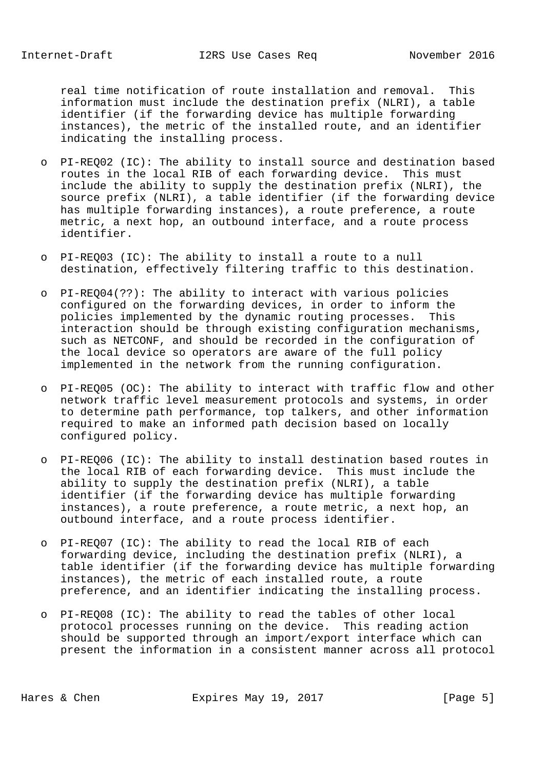real time notification of route installation and removal. This information must include the destination prefix (NLRI), a table identifier (if the forwarding device has multiple forwarding instances), the metric of the installed route, and an identifier indicating the installing process.

- o PI-REQ02 (IC): The ability to install source and destination based routes in the local RIB of each forwarding device. This must include the ability to supply the destination prefix (NLRI), the source prefix (NLRI), a table identifier (if the forwarding device has multiple forwarding instances), a route preference, a route metric, a next hop, an outbound interface, and a route process identifier.
- o PI-REQ03 (IC): The ability to install a route to a null destination, effectively filtering traffic to this destination.
- o PI-REQ04(??): The ability to interact with various policies configured on the forwarding devices, in order to inform the policies implemented by the dynamic routing processes. This interaction should be through existing configuration mechanisms, such as NETCONF, and should be recorded in the configuration of the local device so operators are aware of the full policy implemented in the network from the running configuration.
- o PI-REQ05 (OC): The ability to interact with traffic flow and other network traffic level measurement protocols and systems, in order to determine path performance, top talkers, and other information required to make an informed path decision based on locally configured policy.
- o PI-REQ06 (IC): The ability to install destination based routes in the local RIB of each forwarding device. This must include the ability to supply the destination prefix (NLRI), a table identifier (if the forwarding device has multiple forwarding instances), a route preference, a route metric, a next hop, an outbound interface, and a route process identifier.
- o PI-REQ07 (IC): The ability to read the local RIB of each forwarding device, including the destination prefix (NLRI), a table identifier (if the forwarding device has multiple forwarding instances), the metric of each installed route, a route preference, and an identifier indicating the installing process.
- o PI-REQ08 (IC): The ability to read the tables of other local protocol processes running on the device. This reading action should be supported through an import/export interface which can present the information in a consistent manner across all protocol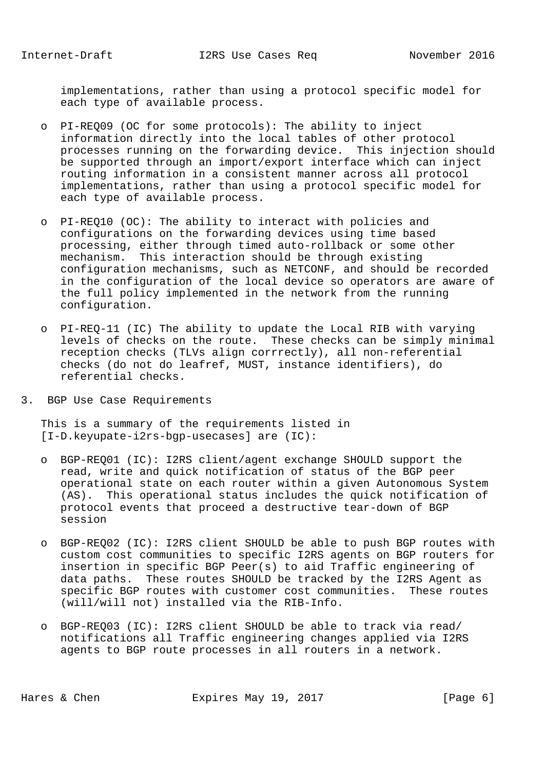implementations, rather than using a protocol specific model for each type of available process.

- o PI-REQ09 (OC for some protocols): The ability to inject information directly into the local tables of other protocol processes running on the forwarding device. This injection should be supported through an import/export interface which can inject routing information in a consistent manner across all protocol implementations, rather than using a protocol specific model for each type of available process.
- o PI-REQ10 (OC): The ability to interact with policies and configurations on the forwarding devices using time based processing, either through timed auto-rollback or some other mechanism. This interaction should be through existing configuration mechanisms, such as NETCONF, and should be recorded in the configuration of the local device so operators are aware of the full policy implemented in the network from the running configuration.
- o PI-REQ-11 (IC) The ability to update the Local RIB with varying levels of checks on the route. These checks can be simply minimal reception checks (TLVs align corrrectly), all non-referential checks (do not do leafref, MUST, instance identifiers), do referential checks.
- 3. BGP Use Case Requirements

 This is a summary of the requirements listed in [I-D.keyupate-i2rs-bgp-usecases] are (IC):

- o BGP-REQ01 (IC): I2RS client/agent exchange SHOULD support the read, write and quick notification of status of the BGP peer operational state on each router within a given Autonomous System (AS). This operational status includes the quick notification of protocol events that proceed a destructive tear-down of BGP session
- o BGP-REQ02 (IC): I2RS client SHOULD be able to push BGP routes with custom cost communities to specific I2RS agents on BGP routers for insertion in specific BGP Peer(s) to aid Traffic engineering of data paths. These routes SHOULD be tracked by the I2RS Agent as specific BGP routes with customer cost communities. These routes (will/will not) installed via the RIB-Info.
- o BGP-REQ03 (IC): I2RS client SHOULD be able to track via read/ notifications all Traffic engineering changes applied via I2RS agents to BGP route processes in all routers in a network.

Hares & Chen **Expires May 19, 2017** [Page 6]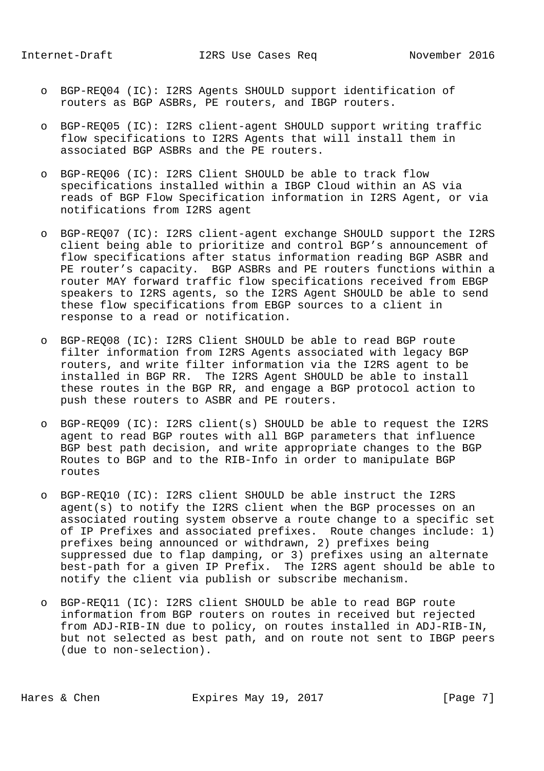- o BGP-REQ04 (IC): I2RS Agents SHOULD support identification of routers as BGP ASBRs, PE routers, and IBGP routers.
- o BGP-REQ05 (IC): I2RS client-agent SHOULD support writing traffic flow specifications to I2RS Agents that will install them in associated BGP ASBRs and the PE routers.
- o BGP-REQ06 (IC): I2RS Client SHOULD be able to track flow specifications installed within a IBGP Cloud within an AS via reads of BGP Flow Specification information in I2RS Agent, or via notifications from I2RS agent
- o BGP-REQ07 (IC): I2RS client-agent exchange SHOULD support the I2RS client being able to prioritize and control BGP's announcement of flow specifications after status information reading BGP ASBR and PE router's capacity. BGP ASBRs and PE routers functions within a router MAY forward traffic flow specifications received from EBGP speakers to I2RS agents, so the I2RS Agent SHOULD be able to send these flow specifications from EBGP sources to a client in response to a read or notification.
- o BGP-REQ08 (IC): I2RS Client SHOULD be able to read BGP route filter information from I2RS Agents associated with legacy BGP routers, and write filter information via the I2RS agent to be installed in BGP RR. The I2RS Agent SHOULD be able to install these routes in the BGP RR, and engage a BGP protocol action to push these routers to ASBR and PE routers.
- o BGP-REQ09 (IC): I2RS client(s) SHOULD be able to request the I2RS agent to read BGP routes with all BGP parameters that influence BGP best path decision, and write appropriate changes to the BGP Routes to BGP and to the RIB-Info in order to manipulate BGP routes
- o BGP-REQ10 (IC): I2RS client SHOULD be able instruct the I2RS agent(s) to notify the I2RS client when the BGP processes on an associated routing system observe a route change to a specific set of IP Prefixes and associated prefixes. Route changes include: 1) prefixes being announced or withdrawn, 2) prefixes being suppressed due to flap damping, or 3) prefixes using an alternate best-path for a given IP Prefix. The I2RS agent should be able to notify the client via publish or subscribe mechanism.
- o BGP-REQ11 (IC): I2RS client SHOULD be able to read BGP route information from BGP routers on routes in received but rejected from ADJ-RIB-IN due to policy, on routes installed in ADJ-RIB-IN, but not selected as best path, and on route not sent to IBGP peers (due to non-selection).

Hares & Chen Expires May 19, 2017 [Page 7]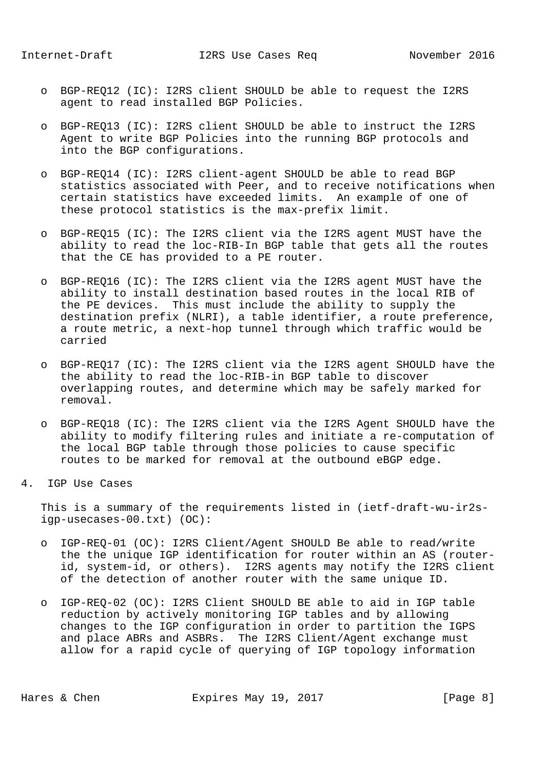- o BGP-REQ12 (IC): I2RS client SHOULD be able to request the I2RS agent to read installed BGP Policies.
- o BGP-REQ13 (IC): I2RS client SHOULD be able to instruct the I2RS Agent to write BGP Policies into the running BGP protocols and into the BGP configurations.
- o BGP-REQ14 (IC): I2RS client-agent SHOULD be able to read BGP statistics associated with Peer, and to receive notifications when certain statistics have exceeded limits. An example of one of these protocol statistics is the max-prefix limit.
- o BGP-REQ15 (IC): The I2RS client via the I2RS agent MUST have the ability to read the loc-RIB-In BGP table that gets all the routes that the CE has provided to a PE router.
- o BGP-REQ16 (IC): The I2RS client via the I2RS agent MUST have the ability to install destination based routes in the local RIB of the PE devices. This must include the ability to supply the destination prefix (NLRI), a table identifier, a route preference, a route metric, a next-hop tunnel through which traffic would be carried
- o BGP-REQ17 (IC): The I2RS client via the I2RS agent SHOULD have the the ability to read the loc-RIB-in BGP table to discover overlapping routes, and determine which may be safely marked for removal.
- o BGP-REQ18 (IC): The I2RS client via the I2RS Agent SHOULD have the ability to modify filtering rules and initiate a re-computation of the local BGP table through those policies to cause specific routes to be marked for removal at the outbound eBGP edge.
- 4. IGP Use Cases

 This is a summary of the requirements listed in (ietf-draft-wu-ir2s igp-usecases-00.txt) (OC):

- o IGP-REQ-01 (OC): I2RS Client/Agent SHOULD Be able to read/write the the unique IGP identification for router within an AS (router id, system-id, or others). I2RS agents may notify the I2RS client of the detection of another router with the same unique ID.
- o IGP-REQ-02 (OC): I2RS Client SHOULD BE able to aid in IGP table reduction by actively monitoring IGP tables and by allowing changes to the IGP configuration in order to partition the IGPS and place ABRs and ASBRs. The I2RS Client/Agent exchange must allow for a rapid cycle of querying of IGP topology information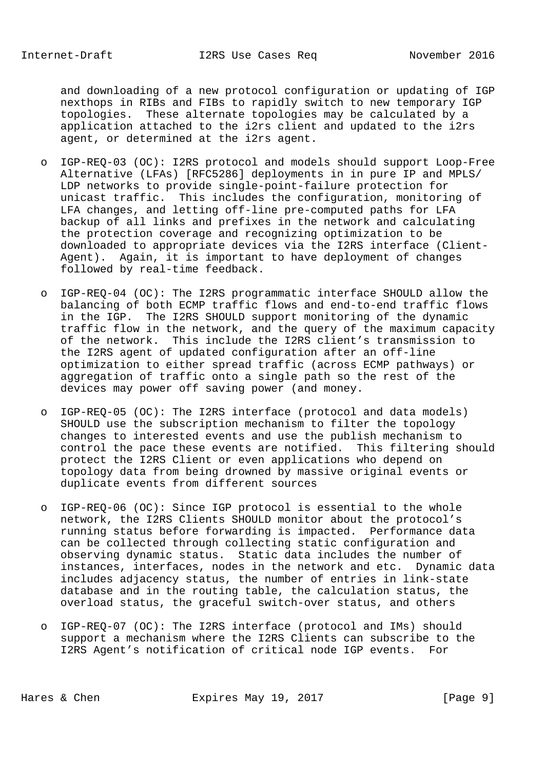and downloading of a new protocol configuration or updating of IGP nexthops in RIBs and FIBs to rapidly switch to new temporary IGP topologies. These alternate topologies may be calculated by a application attached to the i2rs client and updated to the i2rs agent, or determined at the i2rs agent.

- o IGP-REQ-03 (OC): I2RS protocol and models should support Loop-Free Alternative (LFAs) [RFC5286] deployments in in pure IP and MPLS/ LDP networks to provide single-point-failure protection for unicast traffic. This includes the configuration, monitoring of LFA changes, and letting off-line pre-computed paths for LFA backup of all links and prefixes in the network and calculating the protection coverage and recognizing optimization to be downloaded to appropriate devices via the I2RS interface (Client- Agent). Again, it is important to have deployment of changes followed by real-time feedback.
- o IGP-REQ-04 (OC): The I2RS programmatic interface SHOULD allow the balancing of both ECMP traffic flows and end-to-end traffic flows in the IGP. The I2RS SHOULD support monitoring of the dynamic traffic flow in the network, and the query of the maximum capacity of the network. This include the I2RS client's transmission to the I2RS agent of updated configuration after an off-line optimization to either spread traffic (across ECMP pathways) or aggregation of traffic onto a single path so the rest of the devices may power off saving power (and money.
- o IGP-REQ-05 (OC): The I2RS interface (protocol and data models) SHOULD use the subscription mechanism to filter the topology changes to interested events and use the publish mechanism to control the pace these events are notified. This filtering should protect the I2RS Client or even applications who depend on topology data from being drowned by massive original events or duplicate events from different sources
- o IGP-REQ-06 (OC): Since IGP protocol is essential to the whole network, the I2RS Clients SHOULD monitor about the protocol's running status before forwarding is impacted. Performance data can be collected through collecting static configuration and observing dynamic status. Static data includes the number of instances, interfaces, nodes in the network and etc. Dynamic data includes adjacency status, the number of entries in link-state database and in the routing table, the calculation status, the overload status, the graceful switch-over status, and others
- o IGP-REQ-07 (OC): The I2RS interface (protocol and IMs) should support a mechanism where the I2RS Clients can subscribe to the I2RS Agent's notification of critical node IGP events. For

Hares & Chen **Expires May 19, 2017** [Page 9]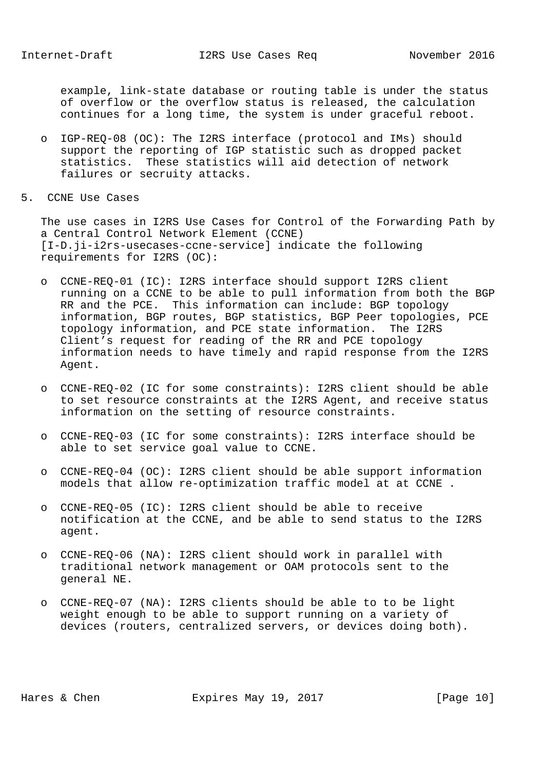example, link-state database or routing table is under the status of overflow or the overflow status is released, the calculation continues for a long time, the system is under graceful reboot.

- o IGP-REQ-08 (OC): The I2RS interface (protocol and IMs) should support the reporting of IGP statistic such as dropped packet statistics. These statistics will aid detection of network failures or secruity attacks.
- 5. CCNE Use Cases

 The use cases in I2RS Use Cases for Control of the Forwarding Path by a Central Control Network Element (CCNE) [I-D.ji-i2rs-usecases-ccne-service] indicate the following requirements for I2RS (OC):

- o CCNE-REQ-01 (IC): I2RS interface should support I2RS client running on a CCNE to be able to pull information from both the BGP RR and the PCE. This information can include: BGP topology information, BGP routes, BGP statistics, BGP Peer topologies, PCE topology information, and PCE state information. The I2RS Client's request for reading of the RR and PCE topology information needs to have timely and rapid response from the I2RS Agent.
- o CCNE-REQ-02 (IC for some constraints): I2RS client should be able to set resource constraints at the I2RS Agent, and receive status information on the setting of resource constraints.
- o CCNE-REQ-03 (IC for some constraints): I2RS interface should be able to set service goal value to CCNE.
- o CCNE-REQ-04 (OC): I2RS client should be able support information models that allow re-optimization traffic model at at CCNE .
- o CCNE-REQ-05 (IC): I2RS client should be able to receive notification at the CCNE, and be able to send status to the I2RS agent.
- o CCNE-REQ-06 (NA): I2RS client should work in parallel with traditional network management or OAM protocols sent to the general NE.
- o CCNE-REQ-07 (NA): I2RS clients should be able to to be light weight enough to be able to support running on a variety of devices (routers, centralized servers, or devices doing both).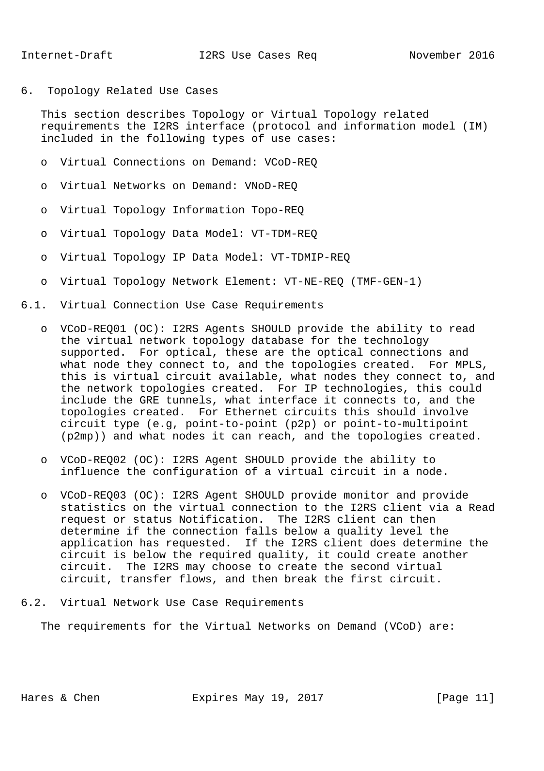6. Topology Related Use Cases

 This section describes Topology or Virtual Topology related requirements the I2RS interface (protocol and information model (IM) included in the following types of use cases:

- o Virtual Connections on Demand: VCoD-REQ
- o Virtual Networks on Demand: VNoD-REQ
- o Virtual Topology Information Topo-REQ
- o Virtual Topology Data Model: VT-TDM-REQ
- o Virtual Topology IP Data Model: VT-TDMIP-REQ
- o Virtual Topology Network Element: VT-NE-REQ (TMF-GEN-1)
- 6.1. Virtual Connection Use Case Requirements
	- o VCoD-REQ01 (OC): I2RS Agents SHOULD provide the ability to read the virtual network topology database for the technology supported. For optical, these are the optical connections and what node they connect to, and the topologies created. For MPLS, this is virtual circuit available, what nodes they connect to, and the network topologies created. For IP technologies, this could include the GRE tunnels, what interface it connects to, and the topologies created. For Ethernet circuits this should involve circuit type (e.g, point-to-point (p2p) or point-to-multipoint (p2mp)) and what nodes it can reach, and the topologies created.
	- o VCoD-REQ02 (OC): I2RS Agent SHOULD provide the ability to influence the configuration of a virtual circuit in a node.
	- o VCoD-REQ03 (OC): I2RS Agent SHOULD provide monitor and provide statistics on the virtual connection to the I2RS client via a Read request or status Notification. The I2RS client can then determine if the connection falls below a quality level the application has requested. If the I2RS client does determine the circuit is below the required quality, it could create another circuit. The I2RS may choose to create the second virtual circuit, transfer flows, and then break the first circuit.
- 6.2. Virtual Network Use Case Requirements

The requirements for the Virtual Networks on Demand (VCoD) are: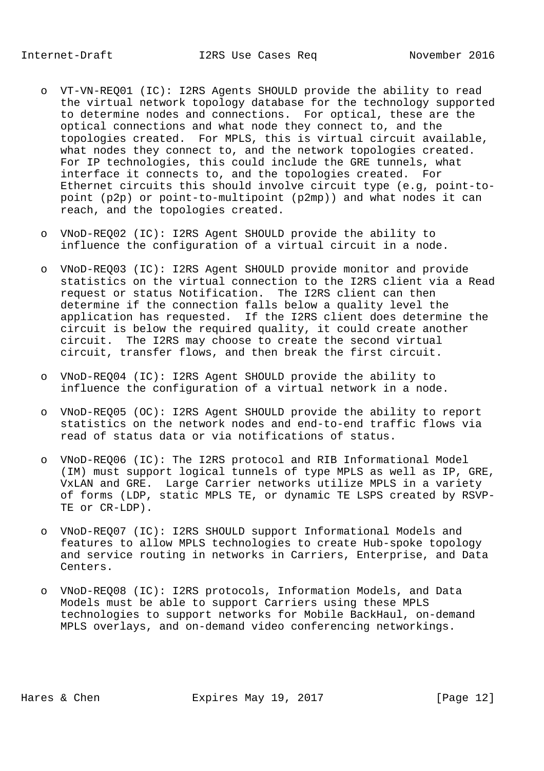- o VT-VN-REQ01 (IC): I2RS Agents SHOULD provide the ability to read the virtual network topology database for the technology supported to determine nodes and connections. For optical, these are the optical connections and what node they connect to, and the topologies created. For MPLS, this is virtual circuit available, what nodes they connect to, and the network topologies created. For IP technologies, this could include the GRE tunnels, what interface it connects to, and the topologies created. For Ethernet circuits this should involve circuit type (e.g, point-to point (p2p) or point-to-multipoint (p2mp)) and what nodes it can reach, and the topologies created.
- o VNoD-REQ02 (IC): I2RS Agent SHOULD provide the ability to influence the configuration of a virtual circuit in a node.
- o VNoD-REQ03 (IC): I2RS Agent SHOULD provide monitor and provide statistics on the virtual connection to the I2RS client via a Read request or status Notification. The I2RS client can then determine if the connection falls below a quality level the application has requested. If the I2RS client does determine the circuit is below the required quality, it could create another circuit. The I2RS may choose to create the second virtual circuit, transfer flows, and then break the first circuit.
- o VNoD-REQ04 (IC): I2RS Agent SHOULD provide the ability to influence the configuration of a virtual network in a node.
- o VNoD-REQ05 (OC): I2RS Agent SHOULD provide the ability to report statistics on the network nodes and end-to-end traffic flows via read of status data or via notifications of status.
- o VNoD-REQ06 (IC): The I2RS protocol and RIB Informational Model (IM) must support logical tunnels of type MPLS as well as IP, GRE, VxLAN and GRE. Large Carrier networks utilize MPLS in a variety of forms (LDP, static MPLS TE, or dynamic TE LSPS created by RSVP- TE or CR-LDP).
- o VNoD-REQ07 (IC): I2RS SHOULD support Informational Models and features to allow MPLS technologies to create Hub-spoke topology and service routing in networks in Carriers, Enterprise, and Data Centers.
- o VNoD-REQ08 (IC): I2RS protocols, Information Models, and Data Models must be able to support Carriers using these MPLS technologies to support networks for Mobile BackHaul, on-demand MPLS overlays, and on-demand video conferencing networkings.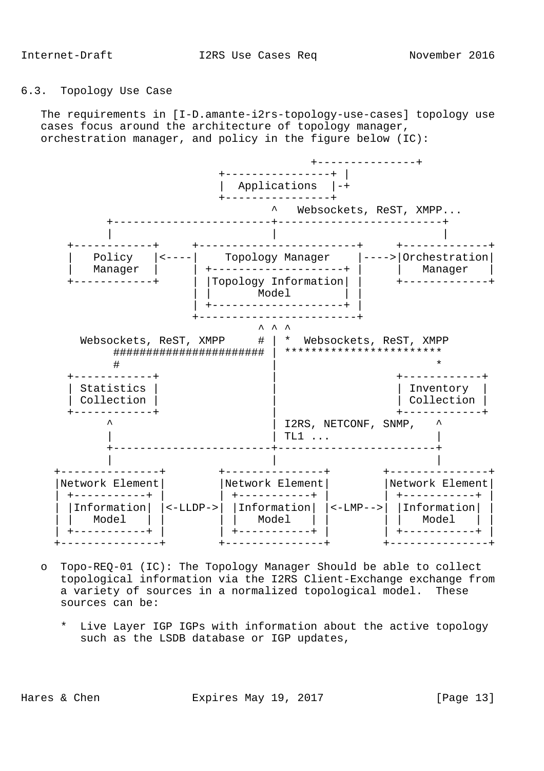# 6.3. Topology Use Case

 The requirements in [I-D.amante-i2rs-topology-use-cases] topology use cases focus around the architecture of topology manager, orchestration manager, and policy in the figure below (IC):



- o Topo-REQ-01 (IC): The Topology Manager Should be able to collect topological information via the I2RS Client-Exchange exchange from a variety of sources in a normalized topological model. These sources can be:
	- \* Live Layer IGP IGPs with information about the active topology such as the LSDB database or IGP updates,

Hares & Chen **Expires May 19, 2017** [Page 13]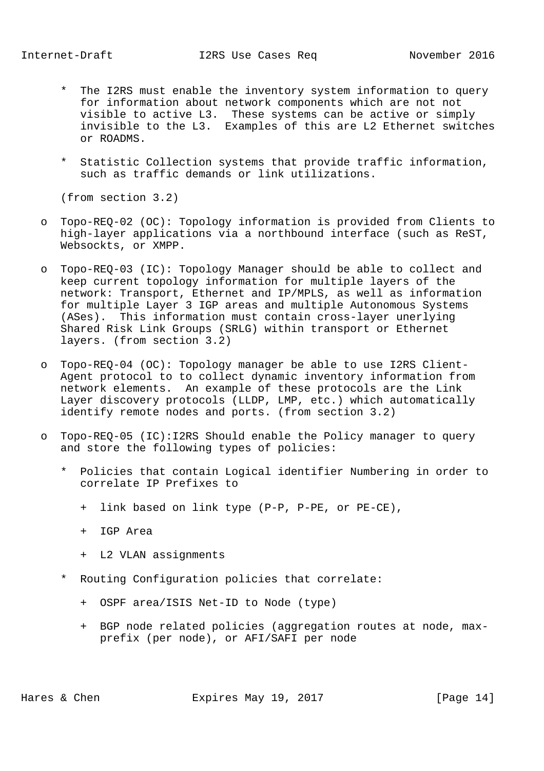- \* The I2RS must enable the inventory system information to query for information about network components which are not not visible to active L3. These systems can be active or simply invisible to the L3. Examples of this are L2 Ethernet switches or ROADMS.
- \* Statistic Collection systems that provide traffic information, such as traffic demands or link utilizations.

(from section 3.2)

- o Topo-REQ-02 (OC): Topology information is provided from Clients to high-layer applications via a northbound interface (such as ReST, Websockts, or XMPP.
- o Topo-REQ-03 (IC): Topology Manager should be able to collect and keep current topology information for multiple layers of the network: Transport, Ethernet and IP/MPLS, as well as information for multiple Layer 3 IGP areas and multiple Autonomous Systems (ASes). This information must contain cross-layer unerlying Shared Risk Link Groups (SRLG) within transport or Ethernet layers. (from section 3.2)
- o Topo-REQ-04 (OC): Topology manager be able to use I2RS Client- Agent protocol to to collect dynamic inventory information from network elements. An example of these protocols are the Link Layer discovery protocols (LLDP, LMP, etc.) which automatically identify remote nodes and ports. (from section 3.2)
- o Topo-REQ-05 (IC):I2RS Should enable the Policy manager to query and store the following types of policies:
	- \* Policies that contain Logical identifier Numbering in order to correlate IP Prefixes to
		- + link based on link type (P-P, P-PE, or PE-CE),
		- + IGP Area
		- + L2 VLAN assignments
	- Routing Configuration policies that correlate:
		- + OSPF area/ISIS Net-ID to Node (type)
		- + BGP node related policies (aggregation routes at node, max prefix (per node), or AFI/SAFI per node

Hares & Chen **Expires May 19, 2017** [Page 14]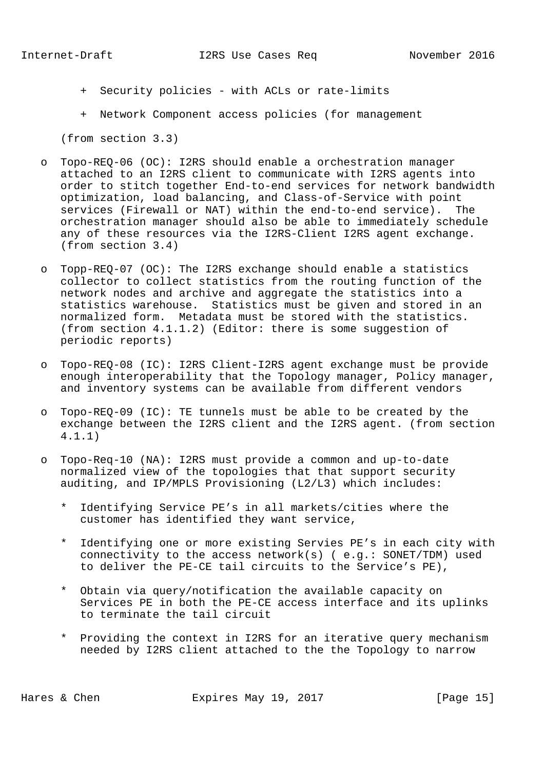- + Security policies with ACLs or rate-limits
- + Network Component access policies (for management

(from section 3.3)

- o Topo-REQ-06 (OC): I2RS should enable a orchestration manager attached to an I2RS client to communicate with I2RS agents into order to stitch together End-to-end services for network bandwidth optimization, load balancing, and Class-of-Service with point services (Firewall or NAT) within the end-to-end service). The orchestration manager should also be able to immediately schedule any of these resources via the I2RS-Client I2RS agent exchange. (from section 3.4)
- o Topp-REQ-07 (OC): The I2RS exchange should enable a statistics collector to collect statistics from the routing function of the network nodes and archive and aggregate the statistics into a statistics warehouse. Statistics must be given and stored in an normalized form. Metadata must be stored with the statistics. (from section 4.1.1.2) (Editor: there is some suggestion of periodic reports)
- o Topo-REQ-08 (IC): I2RS Client-I2RS agent exchange must be provide enough interoperability that the Topology manager, Policy manager, and inventory systems can be available from different vendors
- o Topo-REQ-09 (IC): TE tunnels must be able to be created by the exchange between the I2RS client and the I2RS agent. (from section 4.1.1)
- o Topo-Req-10 (NA): I2RS must provide a common and up-to-date normalized view of the topologies that that support security auditing, and IP/MPLS Provisioning (L2/L3) which includes:
	- \* Identifying Service PE's in all markets/cities where the customer has identified they want service,
	- \* Identifying one or more existing Servies PE's in each city with connectivity to the access network(s) ( e.g.: SONET/TDM) used to deliver the PE-CE tail circuits to the Service's PE),
	- \* Obtain via query/notification the available capacity on Services PE in both the PE-CE access interface and its uplinks to terminate the tail circuit
	- \* Providing the context in I2RS for an iterative query mechanism needed by I2RS client attached to the the Topology to narrow

Hares & Chen **Expires May 19, 2017** [Page 15]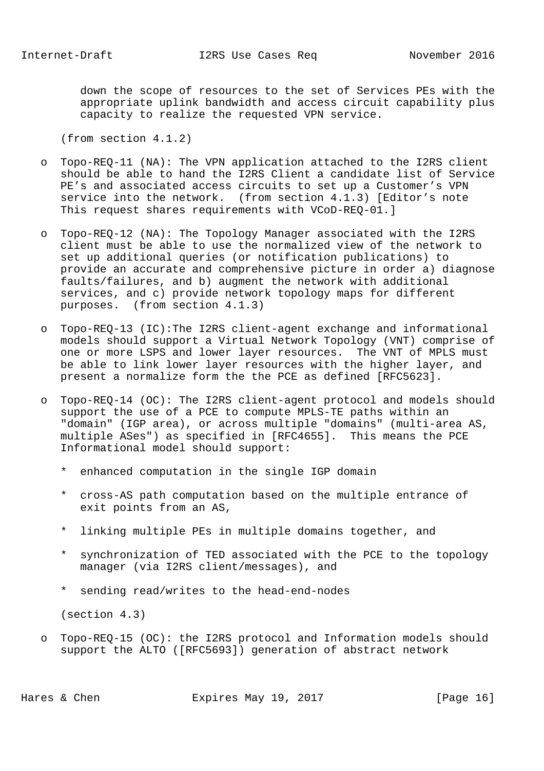down the scope of resources to the set of Services PEs with the appropriate uplink bandwidth and access circuit capability plus capacity to realize the requested VPN service.

(from section 4.1.2)

- o Topo-REQ-11 (NA): The VPN application attached to the I2RS client should be able to hand the I2RS Client a candidate list of Service PE's and associated access circuits to set up a Customer's VPN service into the network. (from section 4.1.3) [Editor's note This request shares requirements with VCoD-REQ-01.]
- o Topo-REQ-12 (NA): The Topology Manager associated with the I2RS client must be able to use the normalized view of the network to set up additional queries (or notification publications) to provide an accurate and comprehensive picture in order a) diagnose faults/failures, and b) augment the network with additional services, and c) provide network topology maps for different purposes. (from section 4.1.3)
- o Topo-REQ-13 (IC):The I2RS client-agent exchange and informational models should support a Virtual Network Topology (VNT) comprise of one or more LSPS and lower layer resources. The VNT of MPLS must be able to link lower layer resources with the higher layer, and present a normalize form the the PCE as defined [RFC5623].
- o Topo-REQ-14 (OC): The I2RS client-agent protocol and models should support the use of a PCE to compute MPLS-TE paths within an "domain" (IGP area), or across multiple "domains" (multi-area AS, multiple ASes") as specified in [RFC4655]. This means the PCE Informational model should support:
	- \* enhanced computation in the single IGP domain
	- \* cross-AS path computation based on the multiple entrance of exit points from an AS,
	- \* linking multiple PEs in multiple domains together, and
	- \* synchronization of TED associated with the PCE to the topology manager (via I2RS client/messages), and
	- \* sending read/writes to the head-end-nodes

(section 4.3)

 o Topo-REQ-15 (OC): the I2RS protocol and Information models should support the ALTO ([RFC5693]) generation of abstract network

Hares & Chen **Expires May 19, 2017** [Page 16]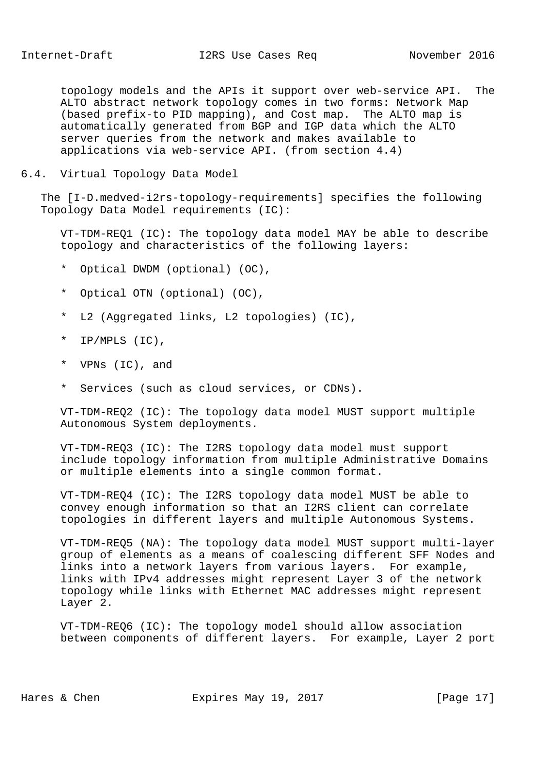topology models and the APIs it support over web-service API. The ALTO abstract network topology comes in two forms: Network Map (based prefix-to PID mapping), and Cost map. The ALTO map is automatically generated from BGP and IGP data which the ALTO server queries from the network and makes available to applications via web-service API. (from section 4.4)

6.4. Virtual Topology Data Model

 The [I-D.medved-i2rs-topology-requirements] specifies the following Topology Data Model requirements (IC):

 VT-TDM-REQ1 (IC): The topology data model MAY be able to describe topology and characteristics of the following layers:

- \* Optical DWDM (optional) (OC),
- \* Optical OTN (optional) (OC),
- \* L2 (Aggregated links, L2 topologies) (IC),
- \* IP/MPLS (IC),
- \* VPNs (IC), and
- \* Services (such as cloud services, or CDNs).

 VT-TDM-REQ2 (IC): The topology data model MUST support multiple Autonomous System deployments.

 VT-TDM-REQ3 (IC): The I2RS topology data model must support include topology information from multiple Administrative Domains or multiple elements into a single common format.

 VT-TDM-REQ4 (IC): The I2RS topology data model MUST be able to convey enough information so that an I2RS client can correlate topologies in different layers and multiple Autonomous Systems.

 VT-TDM-REQ5 (NA): The topology data model MUST support multi-layer group of elements as a means of coalescing different SFF Nodes and links into a network layers from various layers. For example, links with IPv4 addresses might represent Layer 3 of the network topology while links with Ethernet MAC addresses might represent Layer 2.

 VT-TDM-REQ6 (IC): The topology model should allow association between components of different layers. For example, Layer 2 port

Hares & Chen Expires May 19, 2017 [Page 17]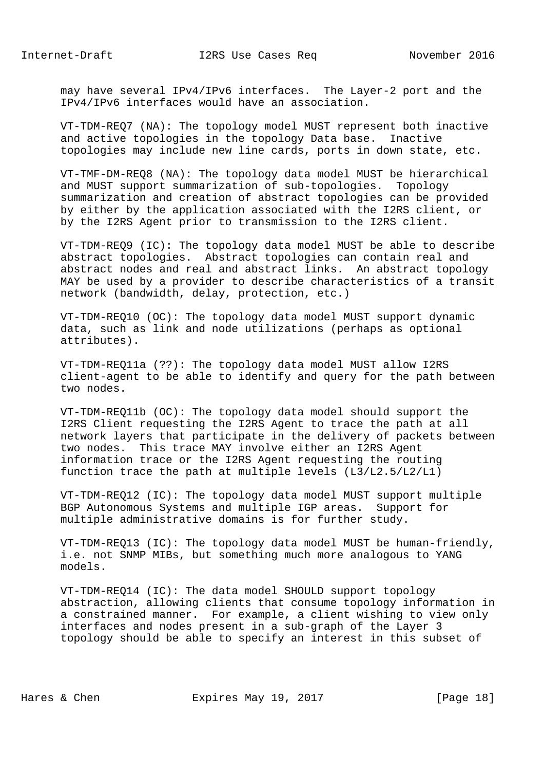may have several IPv4/IPv6 interfaces. The Layer-2 port and the IPv4/IPv6 interfaces would have an association.

 VT-TDM-REQ7 (NA): The topology model MUST represent both inactive and active topologies in the topology Data base. Inactive topologies may include new line cards, ports in down state, etc.

 VT-TMF-DM-REQ8 (NA): The topology data model MUST be hierarchical and MUST support summarization of sub-topologies. Topology summarization and creation of abstract topologies can be provided by either by the application associated with the I2RS client, or by the I2RS Agent prior to transmission to the I2RS client.

 VT-TDM-REQ9 (IC): The topology data model MUST be able to describe abstract topologies. Abstract topologies can contain real and abstract nodes and real and abstract links. An abstract topology MAY be used by a provider to describe characteristics of a transit network (bandwidth, delay, protection, etc.)

 VT-TDM-REQ10 (OC): The topology data model MUST support dynamic data, such as link and node utilizations (perhaps as optional attributes).

 VT-TDM-REQ11a (??): The topology data model MUST allow I2RS client-agent to be able to identify and query for the path between two nodes.

 VT-TDM-REQ11b (OC): The topology data model should support the I2RS Client requesting the I2RS Agent to trace the path at all network layers that participate in the delivery of packets between two nodes. This trace MAY involve either an I2RS Agent information trace or the I2RS Agent requesting the routing function trace the path at multiple levels (L3/L2.5/L2/L1)

 VT-TDM-REQ12 (IC): The topology data model MUST support multiple BGP Autonomous Systems and multiple IGP areas. Support for multiple administrative domains is for further study.

 VT-TDM-REQ13 (IC): The topology data model MUST be human-friendly, i.e. not SNMP MIBs, but something much more analogous to YANG models.

 VT-TDM-REQ14 (IC): The data model SHOULD support topology abstraction, allowing clients that consume topology information in a constrained manner. For example, a client wishing to view only interfaces and nodes present in a sub-graph of the Layer 3 topology should be able to specify an interest in this subset of

Hares & Chen Expires May 19, 2017 [Page 18]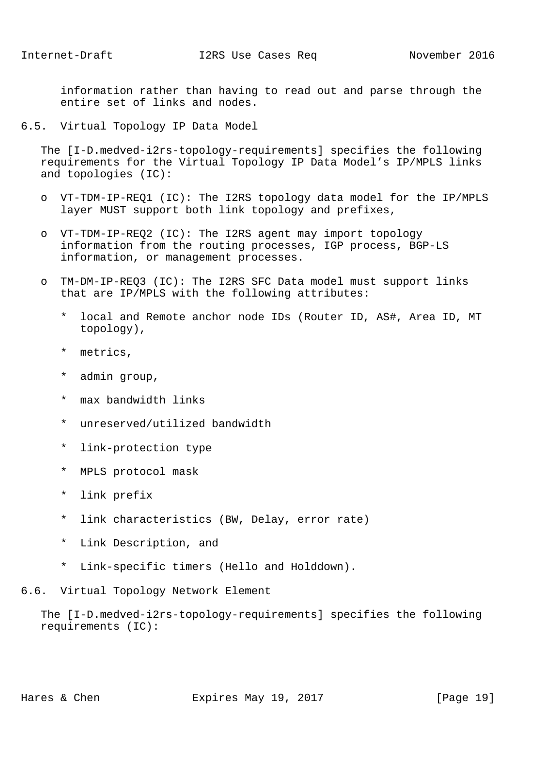information rather than having to read out and parse through the entire set of links and nodes.

6.5. Virtual Topology IP Data Model

 The [I-D.medved-i2rs-topology-requirements] specifies the following requirements for the Virtual Topology IP Data Model's IP/MPLS links and topologies (IC):

- o VT-TDM-IP-REQ1 (IC): The I2RS topology data model for the IP/MPLS layer MUST support both link topology and prefixes,
- o VT-TDM-IP-REQ2 (IC): The I2RS agent may import topology information from the routing processes, IGP process, BGP-LS information, or management processes.
- o TM-DM-IP-REQ3 (IC): The I2RS SFC Data model must support links that are IP/MPLS with the following attributes:
	- local and Remote anchor node IDs (Router ID, AS#, Area ID, MT topology),
	- \* metrics,
	- \* admin group,
	- \* max bandwidth links
	- \* unreserved/utilized bandwidth
	- \* link-protection type
	- \* MPLS protocol mask
	- \* link prefix
	- link characteristics (BW, Delay, error rate)
	- \* Link Description, and
	- \* Link-specific timers (Hello and Holddown).
- 6.6. Virtual Topology Network Element

 The [I-D.medved-i2rs-topology-requirements] specifies the following requirements (IC):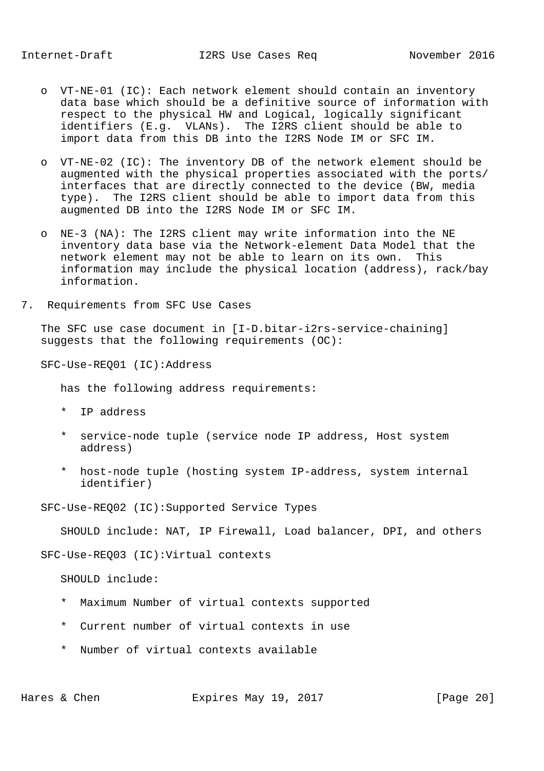- o VT-NE-01 (IC): Each network element should contain an inventory data base which should be a definitive source of information with respect to the physical HW and Logical, logically significant identifiers (E.g. VLANs). The I2RS client should be able to import data from this DB into the I2RS Node IM or SFC IM.
- o VT-NE-02 (IC): The inventory DB of the network element should be augmented with the physical properties associated with the ports/ interfaces that are directly connected to the device (BW, media type). The I2RS client should be able to import data from this augmented DB into the I2RS Node IM or SFC IM.
- o NE-3 (NA): The I2RS client may write information into the NE inventory data base via the Network-element Data Model that the network element may not be able to learn on its own. This information may include the physical location (address), rack/bay information.
- 7. Requirements from SFC Use Cases

 The SFC use case document in [I-D.bitar-i2rs-service-chaining] suggests that the following requirements (OC):

SFC-Use-REQ01 (IC):Address

has the following address requirements:

- \* IP address
- \* service-node tuple (service node IP address, Host system address)
- \* host-node tuple (hosting system IP-address, system internal identifier)

SFC-Use-REQ02 (IC):Supported Service Types

SHOULD include: NAT, IP Firewall, Load balancer, DPI, and others

SFC-Use-REQ03 (IC):Virtual contexts

SHOULD include:

- \* Maximum Number of virtual contexts supported
- \* Current number of virtual contexts in use
- \* Number of virtual contexts available

Hares & Chen **Expires May 19, 2017** [Page 20]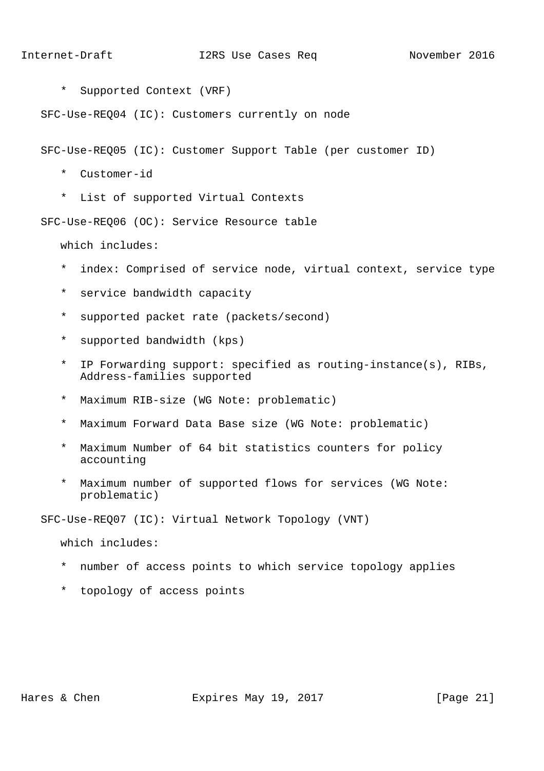\* Supported Context (VRF)

SFC-Use-REQ04 (IC): Customers currently on node

SFC-Use-REQ05 (IC): Customer Support Table (per customer ID)

- \* Customer-id
- \* List of supported Virtual Contexts

SFC-Use-REQ06 (OC): Service Resource table

which includes:

- \* index: Comprised of service node, virtual context, service type
- \* service bandwidth capacity
- \* supported packet rate (packets/second)
- \* supported bandwidth (kps)
- \* IP Forwarding support: specified as routing-instance(s), RIBs, Address-families supported
- \* Maximum RIB-size (WG Note: problematic)
- \* Maximum Forward Data Base size (WG Note: problematic)
- \* Maximum Number of 64 bit statistics counters for policy accounting
- Maximum number of supported flows for services (WG Note: problematic)

SFC-Use-REQ07 (IC): Virtual Network Topology (VNT)

which includes:

- \* number of access points to which service topology applies
- \* topology of access points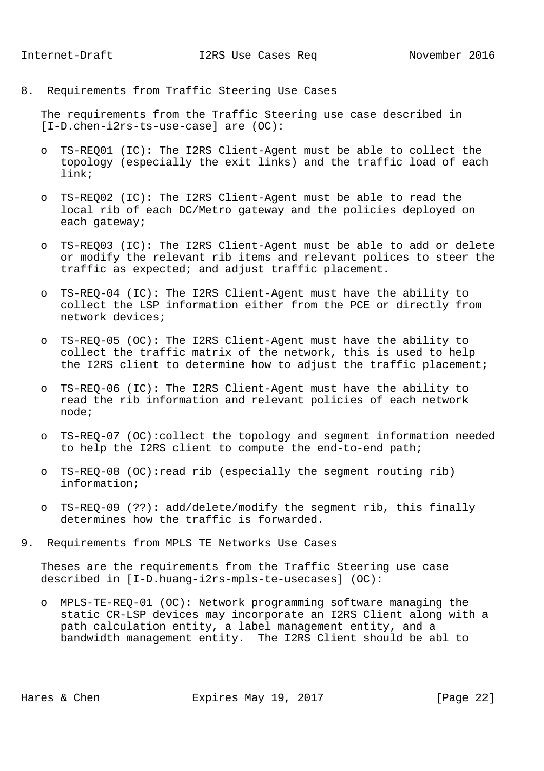8. Requirements from Traffic Steering Use Cases

 The requirements from the Traffic Steering use case described in [I-D.chen-i2rs-ts-use-case] are (OC):

- o TS-REQ01 (IC): The I2RS Client-Agent must be able to collect the topology (especially the exit links) and the traffic load of each link;
- o TS-REQ02 (IC): The I2RS Client-Agent must be able to read the local rib of each DC/Metro gateway and the policies deployed on each gateway;
- o TS-REQ03 (IC): The I2RS Client-Agent must be able to add or delete or modify the relevant rib items and relevant polices to steer the traffic as expected; and adjust traffic placement.
- o TS-REQ-04 (IC): The I2RS Client-Agent must have the ability to collect the LSP information either from the PCE or directly from network devices;
- o TS-REQ-05 (OC): The I2RS Client-Agent must have the ability to collect the traffic matrix of the network, this is used to help the I2RS client to determine how to adjust the traffic placement;
- o TS-REQ-06 (IC): The I2RS Client-Agent must have the ability to read the rib information and relevant policies of each network node;
- o TS-REQ-07 (OC):collect the topology and segment information needed to help the I2RS client to compute the end-to-end path;
- o TS-REQ-08 (OC):read rib (especially the segment routing rib) information;
- o TS-REQ-09 (??): add/delete/modify the segment rib, this finally determines how the traffic is forwarded.
- 9. Requirements from MPLS TE Networks Use Cases

 Theses are the requirements from the Traffic Steering use case described in [I-D.huang-i2rs-mpls-te-usecases] (OC):

 o MPLS-TE-REQ-01 (OC): Network programming software managing the static CR-LSP devices may incorporate an I2RS Client along with a path calculation entity, a label management entity, and a bandwidth management entity. The I2RS Client should be abl to

Hares & Chen Expires May 19, 2017 [Page 22]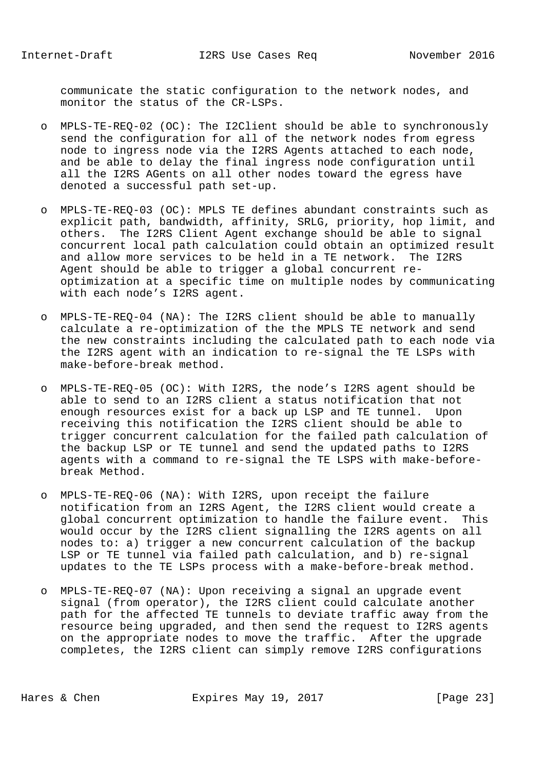communicate the static configuration to the network nodes, and monitor the status of the CR-LSPs.

- o MPLS-TE-REQ-02 (OC): The I2Client should be able to synchronously send the configuration for all of the network nodes from egress node to ingress node via the I2RS Agents attached to each node, and be able to delay the final ingress node configuration until all the I2RS AGents on all other nodes toward the egress have denoted a successful path set-up.
- o MPLS-TE-REQ-03 (OC): MPLS TE defines abundant constraints such as explicit path, bandwidth, affinity, SRLG, priority, hop limit, and others. The I2RS Client Agent exchange should be able to signal concurrent local path calculation could obtain an optimized result and allow more services to be held in a TE network. The I2RS Agent should be able to trigger a global concurrent re optimization at a specific time on multiple nodes by communicating with each node's I2RS agent.
- o MPLS-TE-REQ-04 (NA): The I2RS client should be able to manually calculate a re-optimization of the the MPLS TE network and send the new constraints including the calculated path to each node via the I2RS agent with an indication to re-signal the TE LSPs with make-before-break method.
- o MPLS-TE-REQ-05 (OC): With I2RS, the node's I2RS agent should be able to send to an I2RS client a status notification that not enough resources exist for a back up LSP and TE tunnel. Upon receiving this notification the I2RS client should be able to trigger concurrent calculation for the failed path calculation of the backup LSP or TE tunnel and send the updated paths to I2RS agents with a command to re-signal the TE LSPS with make-before break Method.
- o MPLS-TE-REQ-06 (NA): With I2RS, upon receipt the failure notification from an I2RS Agent, the I2RS client would create a global concurrent optimization to handle the failure event. This would occur by the I2RS client signalling the I2RS agents on all nodes to: a) trigger a new concurrent calculation of the backup LSP or TE tunnel via failed path calculation, and b) re-signal updates to the TE LSPs process with a make-before-break method.
- o MPLS-TE-REQ-07 (NA): Upon receiving a signal an upgrade event signal (from operator), the I2RS client could calculate another path for the affected TE tunnels to deviate traffic away from the resource being upgraded, and then send the request to I2RS agents on the appropriate nodes to move the traffic. After the upgrade completes, the I2RS client can simply remove I2RS configurations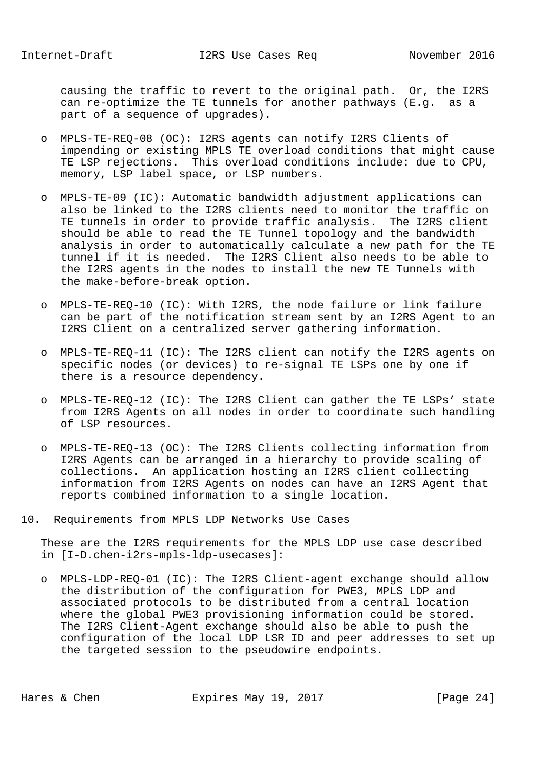causing the traffic to revert to the original path. Or, the I2RS can re-optimize the TE tunnels for another pathways (E.g. as a part of a sequence of upgrades).

- o MPLS-TE-REQ-08 (OC): I2RS agents can notify I2RS Clients of impending or existing MPLS TE overload conditions that might cause TE LSP rejections. This overload conditions include: due to CPU, memory, LSP label space, or LSP numbers.
- o MPLS-TE-09 (IC): Automatic bandwidth adjustment applications can also be linked to the I2RS clients need to monitor the traffic on TE tunnels in order to provide traffic analysis. The I2RS client should be able to read the TE Tunnel topology and the bandwidth analysis in order to automatically calculate a new path for the TE tunnel if it is needed. The I2RS Client also needs to be able to the I2RS agents in the nodes to install the new TE Tunnels with the make-before-break option.
- o MPLS-TE-REQ-10 (IC): With I2RS, the node failure or link failure can be part of the notification stream sent by an I2RS Agent to an I2RS Client on a centralized server gathering information.
- o MPLS-TE-REQ-11 (IC): The I2RS client can notify the I2RS agents on specific nodes (or devices) to re-signal TE LSPs one by one if there is a resource dependency.
- o MPLS-TE-REQ-12 (IC): The I2RS Client can gather the TE LSPs' state from I2RS Agents on all nodes in order to coordinate such handling of LSP resources.
- o MPLS-TE-REQ-13 (OC): The I2RS Clients collecting information from I2RS Agents can be arranged in a hierarchy to provide scaling of collections. An application hosting an I2RS client collecting information from I2RS Agents on nodes can have an I2RS Agent that reports combined information to a single location.
- 10. Requirements from MPLS LDP Networks Use Cases

 These are the I2RS requirements for the MPLS LDP use case described in [I-D.chen-i2rs-mpls-ldp-usecases]:

 o MPLS-LDP-REQ-01 (IC): The I2RS Client-agent exchange should allow the distribution of the configuration for PWE3, MPLS LDP and associated protocols to be distributed from a central location where the global PWE3 provisioning information could be stored. The I2RS Client-Agent exchange should also be able to push the configuration of the local LDP LSR ID and peer addresses to set up the targeted session to the pseudowire endpoints.

Hares & Chen **Expires May 19, 2017** [Page 24]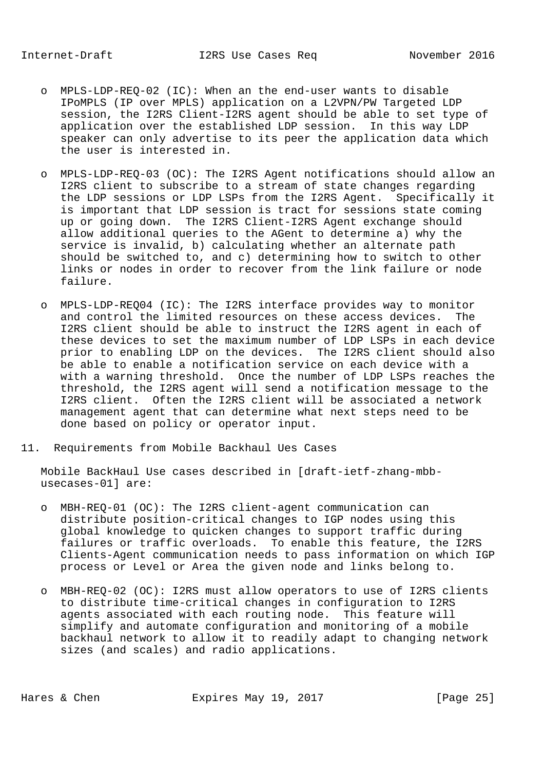- o MPLS-LDP-REQ-02 (IC): When an the end-user wants to disable IPoMPLS (IP over MPLS) application on a L2VPN/PW Targeted LDP session, the I2RS Client-I2RS agent should be able to set type of application over the established LDP session. In this way LDP speaker can only advertise to its peer the application data which the user is interested in.
- o MPLS-LDP-REQ-03 (OC): The I2RS Agent notifications should allow an I2RS client to subscribe to a stream of state changes regarding the LDP sessions or LDP LSPs from the I2RS Agent. Specifically it is important that LDP session is tract for sessions state coming up or going down. The I2RS Client-I2RS Agent exchange should allow additional queries to the AGent to determine a) why the service is invalid, b) calculating whether an alternate path should be switched to, and c) determining how to switch to other links or nodes in order to recover from the link failure or node failure.
- o MPLS-LDP-REQ04 (IC): The I2RS interface provides way to monitor and control the limited resources on these access devices. The I2RS client should be able to instruct the I2RS agent in each of these devices to set the maximum number of LDP LSPs in each device prior to enabling LDP on the devices. The I2RS client should also be able to enable a notification service on each device with a with a warning threshold. Once the number of LDP LSPs reaches the threshold, the I2RS agent will send a notification message to the I2RS client. Often the I2RS client will be associated a network management agent that can determine what next steps need to be done based on policy or operator input.
- 11. Requirements from Mobile Backhaul Ues Cases

 Mobile BackHaul Use cases described in [draft-ietf-zhang-mbb usecases-01] are:

- o MBH-REQ-01 (OC): The I2RS client-agent communication can distribute position-critical changes to IGP nodes using this global knowledge to quicken changes to support traffic during failures or traffic overloads. To enable this feature, the I2RS Clients-Agent communication needs to pass information on which IGP process or Level or Area the given node and links belong to.
- o MBH-REQ-02 (OC): I2RS must allow operators to use of I2RS clients to distribute time-critical changes in configuration to I2RS agents associated with each routing node. This feature will simplify and automate configuration and monitoring of a mobile backhaul network to allow it to readily adapt to changing network sizes (and scales) and radio applications.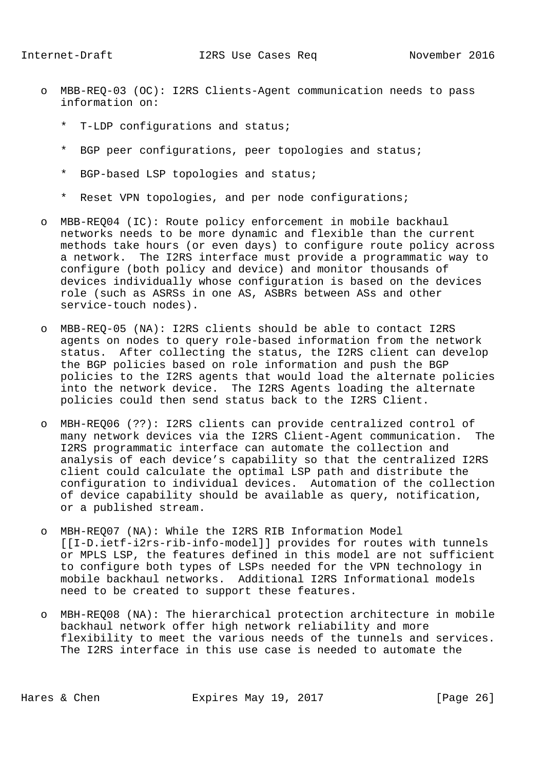- o MBB-REQ-03 (OC): I2RS Clients-Agent communication needs to pass information on:
	- T-LDP configurations and status;
	- \* BGP peer configurations, peer topologies and status;
	- \* BGP-based LSP topologies and status;
	- \* Reset VPN topologies, and per node configurations;
- o MBB-REQ04 (IC): Route policy enforcement in mobile backhaul networks needs to be more dynamic and flexible than the current methods take hours (or even days) to configure route policy across a network. The I2RS interface must provide a programmatic way to configure (both policy and device) and monitor thousands of devices individually whose configuration is based on the devices role (such as ASRSs in one AS, ASBRs between ASs and other service-touch nodes).
- o MBB-REQ-05 (NA): I2RS clients should be able to contact I2RS agents on nodes to query role-based information from the network status. After collecting the status, the I2RS client can develop the BGP policies based on role information and push the BGP policies to the I2RS agents that would load the alternate policies into the network device. The I2RS Agents loading the alternate policies could then send status back to the I2RS Client.
- o MBH-REQ06 (??): I2RS clients can provide centralized control of many network devices via the I2RS Client-Agent communication. The I2RS programmatic interface can automate the collection and analysis of each device's capability so that the centralized I2RS client could calculate the optimal LSP path and distribute the configuration to individual devices. Automation of the collection of device capability should be available as query, notification, or a published stream.
- o MBH-REQ07 (NA): While the I2RS RIB Information Model [[I-D.ietf-i2rs-rib-info-model]] provides for routes with tunnels or MPLS LSP, the features defined in this model are not sufficient to configure both types of LSPs needed for the VPN technology in mobile backhaul networks. Additional I2RS Informational models need to be created to support these features.
- o MBH-REQ08 (NA): The hierarchical protection architecture in mobile backhaul network offer high network reliability and more flexibility to meet the various needs of the tunnels and services. The I2RS interface in this use case is needed to automate the

Hares & Chen **Expires May 19, 2017** [Page 26]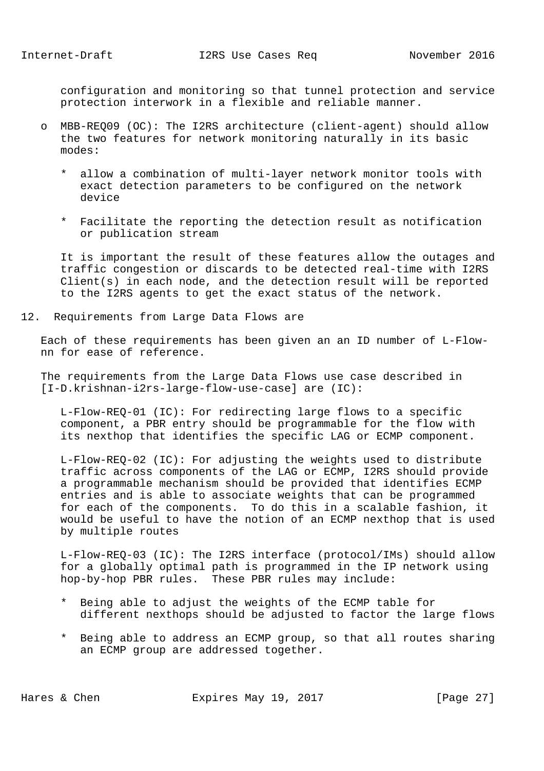configuration and monitoring so that tunnel protection and service protection interwork in a flexible and reliable manner.

- o MBB-REQ09 (OC): The I2RS architecture (client-agent) should allow the two features for network monitoring naturally in its basic modes:
	- \* allow a combination of multi-layer network monitor tools with exact detection parameters to be configured on the network device
	- \* Facilitate the reporting the detection result as notification or publication stream

 It is important the result of these features allow the outages and traffic congestion or discards to be detected real-time with I2RS Client(s) in each node, and the detection result will be reported to the I2RS agents to get the exact status of the network.

12. Requirements from Large Data Flows are

 Each of these requirements has been given an an ID number of L-Flow nn for ease of reference.

 The requirements from the Large Data Flows use case described in [I-D.krishnan-i2rs-large-flow-use-case] are (IC):

 L-Flow-REQ-01 (IC): For redirecting large flows to a specific component, a PBR entry should be programmable for the flow with its nexthop that identifies the specific LAG or ECMP component.

 L-Flow-REQ-02 (IC): For adjusting the weights used to distribute traffic across components of the LAG or ECMP, I2RS should provide a programmable mechanism should be provided that identifies ECMP entries and is able to associate weights that can be programmed for each of the components. To do this in a scalable fashion, it would be useful to have the notion of an ECMP nexthop that is used by multiple routes

 L-Flow-REQ-03 (IC): The I2RS interface (protocol/IMs) should allow for a globally optimal path is programmed in the IP network using hop-by-hop PBR rules. These PBR rules may include:

- Being able to adjust the weights of the ECMP table for different nexthops should be adjusted to factor the large flows
- \* Being able to address an ECMP group, so that all routes sharing an ECMP group are addressed together.

Hares & Chen Expires May 19, 2017 [Page 27]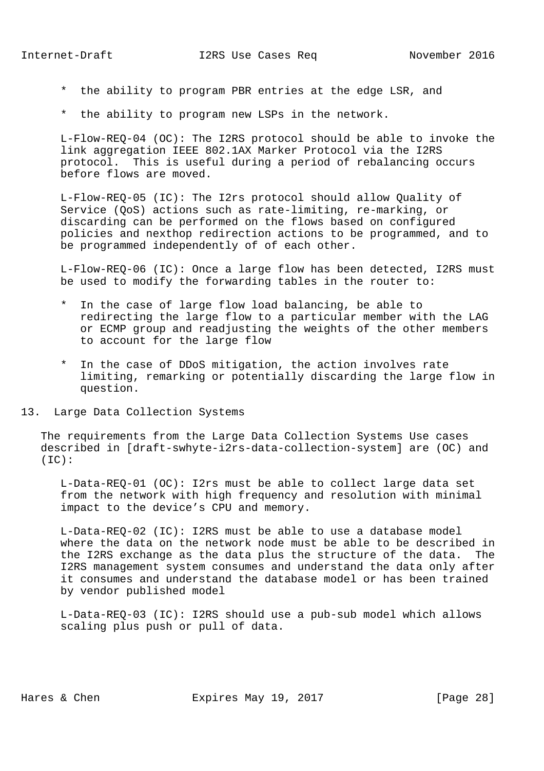- \* the ability to program PBR entries at the edge LSR, and
- \* the ability to program new LSPs in the network.

 L-Flow-REQ-04 (OC): The I2RS protocol should be able to invoke the link aggregation IEEE 802.1AX Marker Protocol via the I2RS protocol. This is useful during a period of rebalancing occurs before flows are moved.

 L-Flow-REQ-05 (IC): The I2rs protocol should allow Quality of Service (QoS) actions such as rate-limiting, re-marking, or discarding can be performed on the flows based on configured policies and nexthop redirection actions to be programmed, and to be programmed independently of of each other.

 L-Flow-REQ-06 (IC): Once a large flow has been detected, I2RS must be used to modify the forwarding tables in the router to:

- \* In the case of large flow load balancing, be able to redirecting the large flow to a particular member with the LAG or ECMP group and readjusting the weights of the other members to account for the large flow
- \* In the case of DDoS mitigation, the action involves rate limiting, remarking or potentially discarding the large flow in question.
- 13. Large Data Collection Systems

 The requirements from the Large Data Collection Systems Use cases described in [draft-swhyte-i2rs-data-collection-system] are (OC) and  $(IC):$ 

 L-Data-REQ-01 (OC): I2rs must be able to collect large data set from the network with high frequency and resolution with minimal impact to the device's CPU and memory.

 L-Data-REQ-02 (IC): I2RS must be able to use a database model where the data on the network node must be able to be described in the I2RS exchange as the data plus the structure of the data. The I2RS management system consumes and understand the data only after it consumes and understand the database model or has been trained by vendor published model

 L-Data-REQ-03 (IC): I2RS should use a pub-sub model which allows scaling plus push or pull of data.

Hares & Chen **Expires May 19, 2017** [Page 28]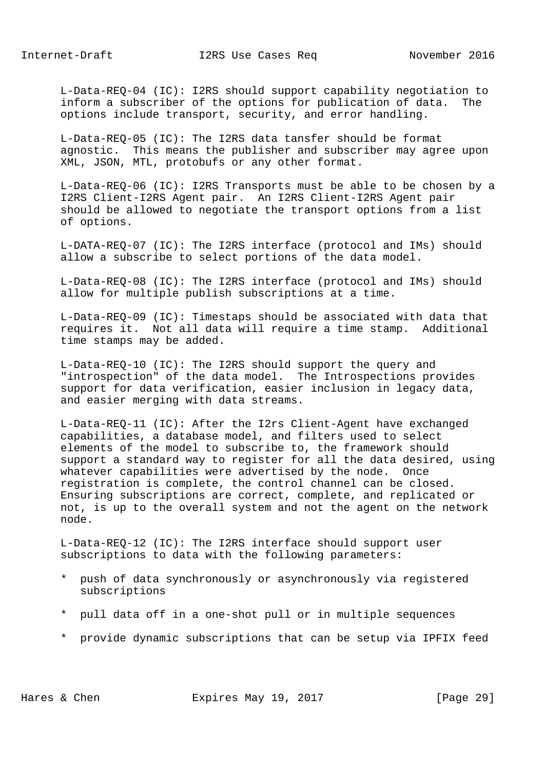L-Data-REQ-04 (IC): I2RS should support capability negotiation to inform a subscriber of the options for publication of data. The options include transport, security, and error handling.

 L-Data-REQ-05 (IC): The I2RS data tansfer should be format agnostic. This means the publisher and subscriber may agree upon XML, JSON, MTL, protobufs or any other format.

 L-Data-REQ-06 (IC): I2RS Transports must be able to be chosen by a I2RS Client-I2RS Agent pair. An I2RS Client-I2RS Agent pair should be allowed to negotiate the transport options from a list of options.

 L-DATA-REQ-07 (IC): The I2RS interface (protocol and IMs) should allow a subscribe to select portions of the data model.

 L-Data-REQ-08 (IC): The I2RS interface (protocol and IMs) should allow for multiple publish subscriptions at a time.

 L-Data-REQ-09 (IC): Timestaps should be associated with data that requires it. Not all data will require a time stamp. Additional time stamps may be added.

 L-Data-REQ-10 (IC): The I2RS should support the query and "introspection" of the data model. The Introspections provides support for data verification, easier inclusion in legacy data, and easier merging with data streams.

 L-Data-REQ-11 (IC): After the I2rs Client-Agent have exchanged capabilities, a database model, and filters used to select elements of the model to subscribe to, the framework should support a standard way to register for all the data desired, using whatever capabilities were advertised by the node. Once registration is complete, the control channel can be closed. Ensuring subscriptions are correct, complete, and replicated or not, is up to the overall system and not the agent on the network node.

 L-Data-REQ-12 (IC): The I2RS interface should support user subscriptions to data with the following parameters:

- \* push of data synchronously or asynchronously via registered subscriptions
- \* pull data off in a one-shot pull or in multiple sequences
- \* provide dynamic subscriptions that can be setup via IPFIX feed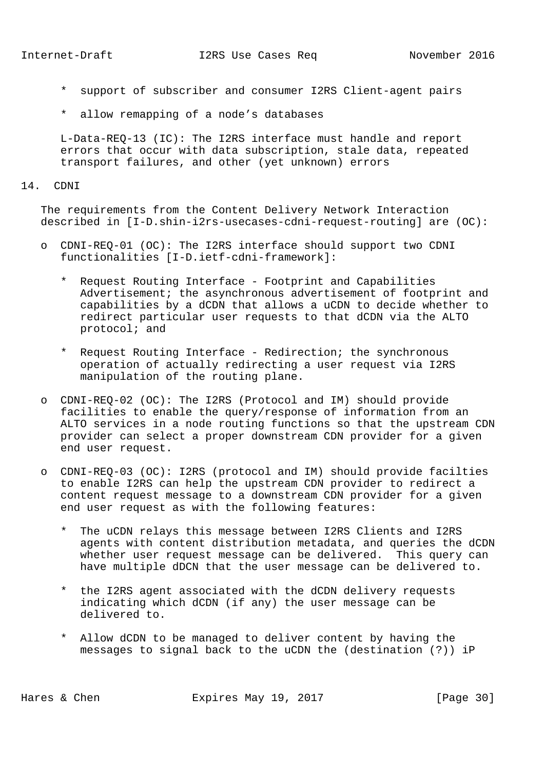Internet-Draft 12RS Use Cases Req November 2016

- \* support of subscriber and consumer I2RS Client-agent pairs
- \* allow remapping of a node's databases

 L-Data-REQ-13 (IC): The I2RS interface must handle and report errors that occur with data subscription, stale data, repeated transport failures, and other (yet unknown) errors

## 14. CDNI

 The requirements from the Content Delivery Network Interaction described in [I-D.shin-i2rs-usecases-cdni-request-routing] are (OC):

- o CDNI-REQ-01 (OC): The I2RS interface should support two CDNI functionalities [I-D.ietf-cdni-framework]:
	- Request Routing Interface Footprint and Capabilities Advertisement; the asynchronous advertisement of footprint and capabilities by a dCDN that allows a uCDN to decide whether to redirect particular user requests to that dCDN via the ALTO protocol; and
	- \* Request Routing Interface Redirection; the synchronous operation of actually redirecting a user request via I2RS manipulation of the routing plane.
- o CDNI-REQ-02 (OC): The I2RS (Protocol and IM) should provide facilities to enable the query/response of information from an ALTO services in a node routing functions so that the upstream CDN provider can select a proper downstream CDN provider for a given end user request.
- o CDNI-REQ-03 (OC): I2RS (protocol and IM) should provide facilties to enable I2RS can help the upstream CDN provider to redirect a content request message to a downstream CDN provider for a given end user request as with the following features:
	- \* The uCDN relays this message between I2RS Clients and I2RS agents with content distribution metadata, and queries the dCDN whether user request message can be delivered. This query can have multiple dDCN that the user message can be delivered to.
	- \* the I2RS agent associated with the dCDN delivery requests indicating which dCDN (if any) the user message can be delivered to.
	- \* Allow dCDN to be managed to deliver content by having the messages to signal back to the uCDN the (destination (?)) iP

Hares & Chen **Expires May 19, 2017** [Page 30]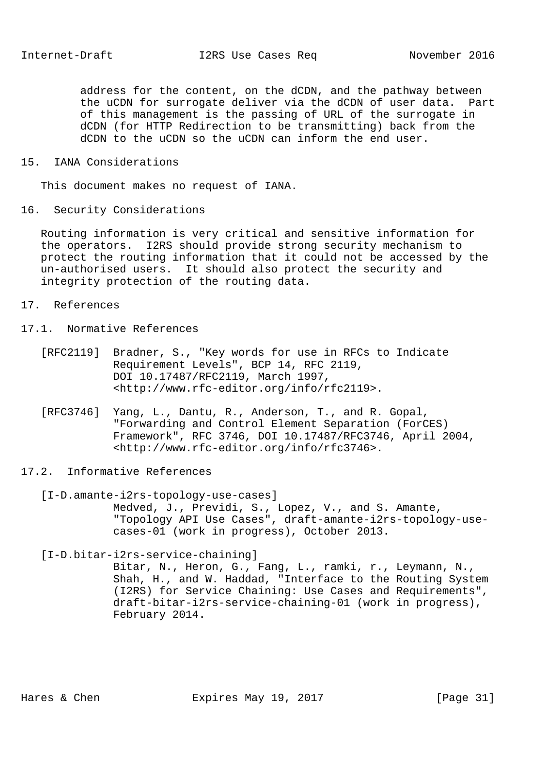address for the content, on the dCDN, and the pathway between the uCDN for surrogate deliver via the dCDN of user data. Part of this management is the passing of URL of the surrogate in dCDN (for HTTP Redirection to be transmitting) back from the dCDN to the uCDN so the uCDN can inform the end user.

15. IANA Considerations

This document makes no request of IANA.

16. Security Considerations

 Routing information is very critical and sensitive information for the operators. I2RS should provide strong security mechanism to protect the routing information that it could not be accessed by the un-authorised users. It should also protect the security and integrity protection of the routing data.

- 17. References
- 17.1. Normative References
	- [RFC2119] Bradner, S., "Key words for use in RFCs to Indicate Requirement Levels", BCP 14, RFC 2119, DOI 10.17487/RFC2119, March 1997, <http://www.rfc-editor.org/info/rfc2119>.
	- [RFC3746] Yang, L., Dantu, R., Anderson, T., and R. Gopal, "Forwarding and Control Element Separation (ForCES) Framework", RFC 3746, DOI 10.17487/RFC3746, April 2004, <http://www.rfc-editor.org/info/rfc3746>.
- 17.2. Informative References

 [I-D.amante-i2rs-topology-use-cases] Medved, J., Previdi, S., Lopez, V., and S. Amante, "Topology API Use Cases", draft-amante-i2rs-topology-use cases-01 (work in progress), October 2013.

[I-D.bitar-i2rs-service-chaining]

 Bitar, N., Heron, G., Fang, L., ramki, r., Leymann, N., Shah, H., and W. Haddad, "Interface to the Routing System (I2RS) for Service Chaining: Use Cases and Requirements", draft-bitar-i2rs-service-chaining-01 (work in progress), February 2014.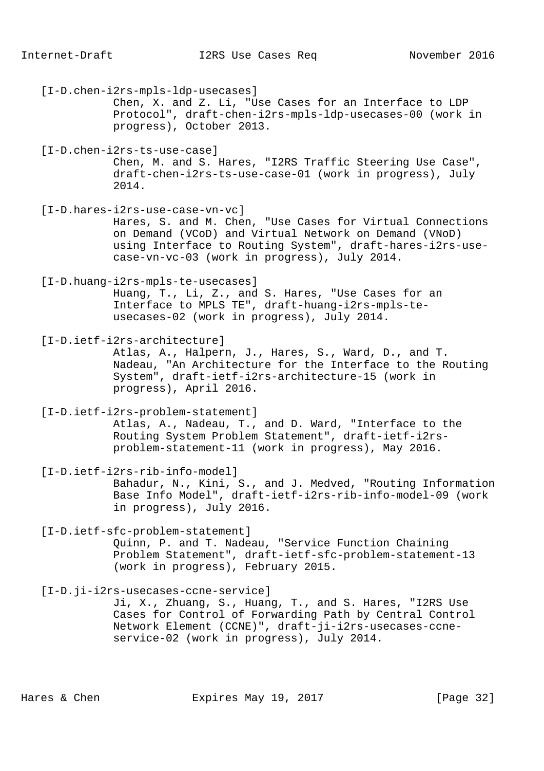[I-D.chen-i2rs-mpls-ldp-usecases] Chen, X. and Z. Li, "Use Cases for an Interface to LDP Protocol", draft-chen-i2rs-mpls-ldp-usecases-00 (work in progress), October 2013. [I-D.chen-i2rs-ts-use-case] Chen, M. and S. Hares, "I2RS Traffic Steering Use Case", draft-chen-i2rs-ts-use-case-01 (work in progress), July 2014. [I-D.hares-i2rs-use-case-vn-vc] Hares, S. and M. Chen, "Use Cases for Virtual Connections on Demand (VCoD) and Virtual Network on Demand (VNoD) using Interface to Routing System", draft-hares-i2rs-use case-vn-vc-03 (work in progress), July 2014. [I-D.huang-i2rs-mpls-te-usecases] Huang, T., Li, Z., and S. Hares, "Use Cases for an Interface to MPLS TE", draft-huang-i2rs-mpls-te usecases-02 (work in progress), July 2014. [I-D.ietf-i2rs-architecture] Atlas, A., Halpern, J., Hares, S., Ward, D., and T. Nadeau, "An Architecture for the Interface to the Routing System", draft-ietf-i2rs-architecture-15 (work in progress), April 2016. [I-D.ietf-i2rs-problem-statement] Atlas, A., Nadeau, T., and D. Ward, "Interface to the Routing System Problem Statement", draft-ietf-i2rs problem-statement-11 (work in progress), May 2016. [I-D.ietf-i2rs-rib-info-model] Bahadur, N., Kini, S., and J. Medved, "Routing Information Base Info Model", draft-ietf-i2rs-rib-info-model-09 (work in progress), July 2016. [I-D.ietf-sfc-problem-statement] Quinn, P. and T. Nadeau, "Service Function Chaining Problem Statement", draft-ietf-sfc-problem-statement-13 (work in progress), February 2015. [I-D.ji-i2rs-usecases-ccne-service] Ji, X., Zhuang, S., Huang, T., and S. Hares, "I2RS Use Cases for Control of Forwarding Path by Central Control Network Element (CCNE)", draft-ji-i2rs-usecases-ccne service-02 (work in progress), July 2014.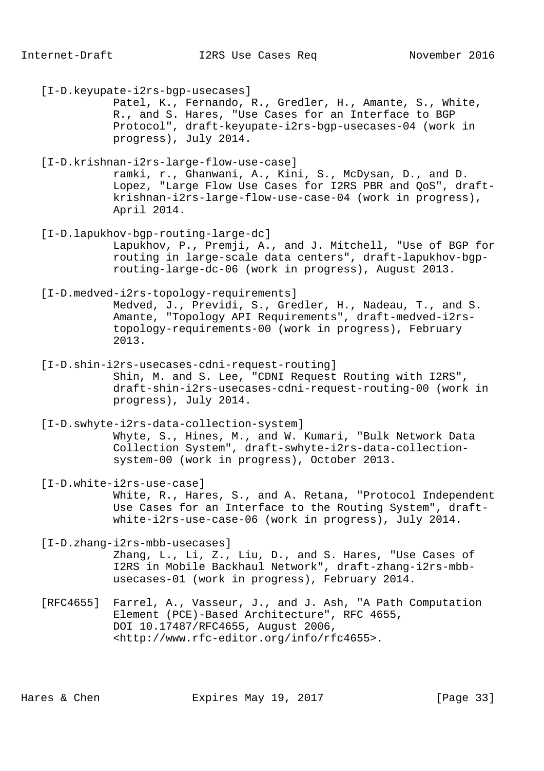[I-D.keyupate-i2rs-bgp-usecases] Patel, K., Fernando, R., Gredler, H., Amante, S., White, R., and S. Hares, "Use Cases for an Interface to BGP Protocol", draft-keyupate-i2rs-bgp-usecases-04 (work in progress), July 2014. [I-D.krishnan-i2rs-large-flow-use-case] ramki, r., Ghanwani, A., Kini, S., McDysan, D., and D. Lopez, "Large Flow Use Cases for I2RS PBR and QoS", draft krishnan-i2rs-large-flow-use-case-04 (work in progress), April 2014. [I-D.lapukhov-bgp-routing-large-dc] Lapukhov, P., Premji, A., and J. Mitchell, "Use of BGP for routing in large-scale data centers", draft-lapukhov-bgp routing-large-dc-06 (work in progress), August 2013. [I-D.medved-i2rs-topology-requirements] Medved, J., Previdi, S., Gredler, H., Nadeau, T., and S. Amante, "Topology API Requirements", draft-medved-i2rs topology-requirements-00 (work in progress), February 2013. [I-D.shin-i2rs-usecases-cdni-request-routing] Shin, M. and S. Lee, "CDNI Request Routing with I2RS", draft-shin-i2rs-usecases-cdni-request-routing-00 (work in progress), July 2014. [I-D.swhyte-i2rs-data-collection-system] Whyte, S., Hines, M., and W. Kumari, "Bulk Network Data Collection System", draft-swhyte-i2rs-data-collection system-00 (work in progress), October 2013. [I-D.white-i2rs-use-case] White, R., Hares, S., and A. Retana, "Protocol Independent Use Cases for an Interface to the Routing System", draft white-i2rs-use-case-06 (work in progress), July 2014. [I-D.zhang-i2rs-mbb-usecases] Zhang, L., Li, Z., Liu, D., and S. Hares, "Use Cases of I2RS in Mobile Backhaul Network", draft-zhang-i2rs-mbb usecases-01 (work in progress), February 2014. [RFC4655] Farrel, A., Vasseur, J., and J. Ash, "A Path Computation Element (PCE)-Based Architecture", RFC 4655, DOI 10.17487/RFC4655, August 2006, <http://www.rfc-editor.org/info/rfc4655>.

Hares & Chen Expires May 19, 2017 [Page 33]